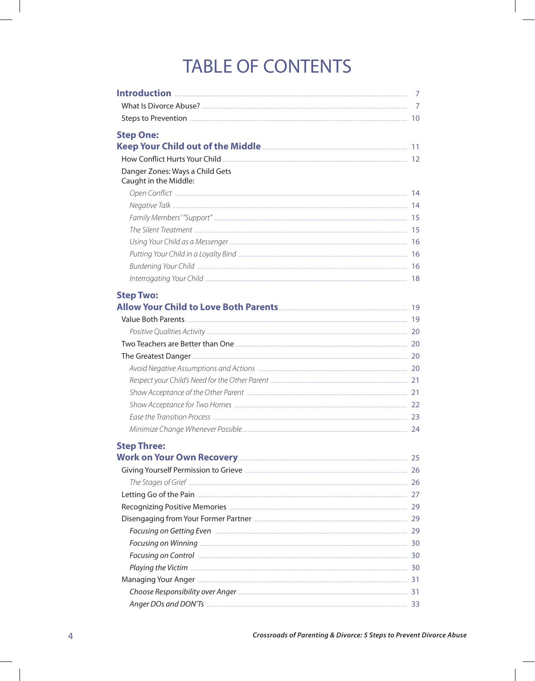## **TABLE OF CONTENTS**

|                                                                                                                                                                                                                                     | 7  |
|-------------------------------------------------------------------------------------------------------------------------------------------------------------------------------------------------------------------------------------|----|
|                                                                                                                                                                                                                                     |    |
|                                                                                                                                                                                                                                     |    |
| <b>Step One:</b>                                                                                                                                                                                                                    |    |
|                                                                                                                                                                                                                                     |    |
|                                                                                                                                                                                                                                     |    |
| Danger Zones: Ways a Child Gets                                                                                                                                                                                                     |    |
| Caught in the Middle:                                                                                                                                                                                                               |    |
|                                                                                                                                                                                                                                     |    |
|                                                                                                                                                                                                                                     |    |
|                                                                                                                                                                                                                                     |    |
|                                                                                                                                                                                                                                     |    |
|                                                                                                                                                                                                                                     |    |
|                                                                                                                                                                                                                                     |    |
|                                                                                                                                                                                                                                     |    |
|                                                                                                                                                                                                                                     |    |
|                                                                                                                                                                                                                                     |    |
| <b>Step Two:</b>                                                                                                                                                                                                                    |    |
|                                                                                                                                                                                                                                     |    |
|                                                                                                                                                                                                                                     |    |
|                                                                                                                                                                                                                                     |    |
|                                                                                                                                                                                                                                     |    |
|                                                                                                                                                                                                                                     |    |
|                                                                                                                                                                                                                                     |    |
|                                                                                                                                                                                                                                     |    |
|                                                                                                                                                                                                                                     |    |
|                                                                                                                                                                                                                                     |    |
|                                                                                                                                                                                                                                     |    |
|                                                                                                                                                                                                                                     |    |
| <b>Step Three:</b>                                                                                                                                                                                                                  |    |
|                                                                                                                                                                                                                                     |    |
|                                                                                                                                                                                                                                     |    |
|                                                                                                                                                                                                                                     |    |
|                                                                                                                                                                                                                                     |    |
|                                                                                                                                                                                                                                     |    |
|                                                                                                                                                                                                                                     |    |
|                                                                                                                                                                                                                                     |    |
|                                                                                                                                                                                                                                     |    |
| Focusing on Control <b>Exercise Control</b> 20 and 20 and 20 and 20 and 20 and 20 and 20 and 20 and 20 and 20 and 20 and 20 and 20 and 20 and 20 and 20 and 20 and 20 and 20 and 20 and 20 and 20 and 20 and 20 and 20 and 20 and 2 |    |
|                                                                                                                                                                                                                                     |    |
|                                                                                                                                                                                                                                     |    |
|                                                                                                                                                                                                                                     |    |
| Anger DOs and DON'Ts                                                                                                                                                                                                                | 33 |